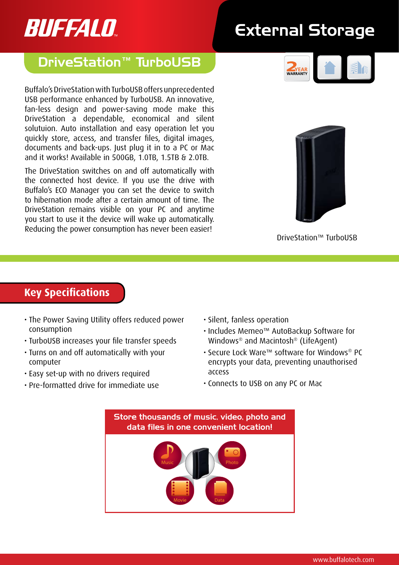# BUFFALO

## External Storage

### DriveStation™ TurboUSB

Buffalo's DriveStation with TurboUSB offers unprecedented USB performance enhanced by TurboUSB. An innovative, fan-less design and power-saving mode make this DriveStation a dependable, economical and silent solutuion. Auto installation and easy operation let you quickly store, access, and transfer files, digital images, documents and back-ups. Just plug it in to a PC or Mac and it works! Available in 500GB, 1.0TB, 1.5TB & 2.0TB.

The DriveStation switches on and off automatically with the connected host device. If you use the drive with Buffalo's ECO Manager you can set the device to switch to hibernation mode after a certain amount of time. The DriveStation remains visible on your PC and anytime you start to use it the device will wake up automatically. Reducing the power consumption has never been easier!





DriveStation™ TurboUSB

#### **Key Specifications**

- The Power Saving Utility offers reduced power consumption
- • TurboUSB increases your file transfer speeds
- • Turns on and off automatically with your computer
- • Easy set-up with no drivers required
- • Pre-formatted drive for immediate use
- • Silent, fanless operation
- • Includes Memeo™ AutoBackup Software for Windows® and Macintosh® (LifeAgent)
- • Secure Lock Ware™ software for Windows® PC encrypts your data, preventing unauthorised access
- • Connects to USB on any PC or Mac